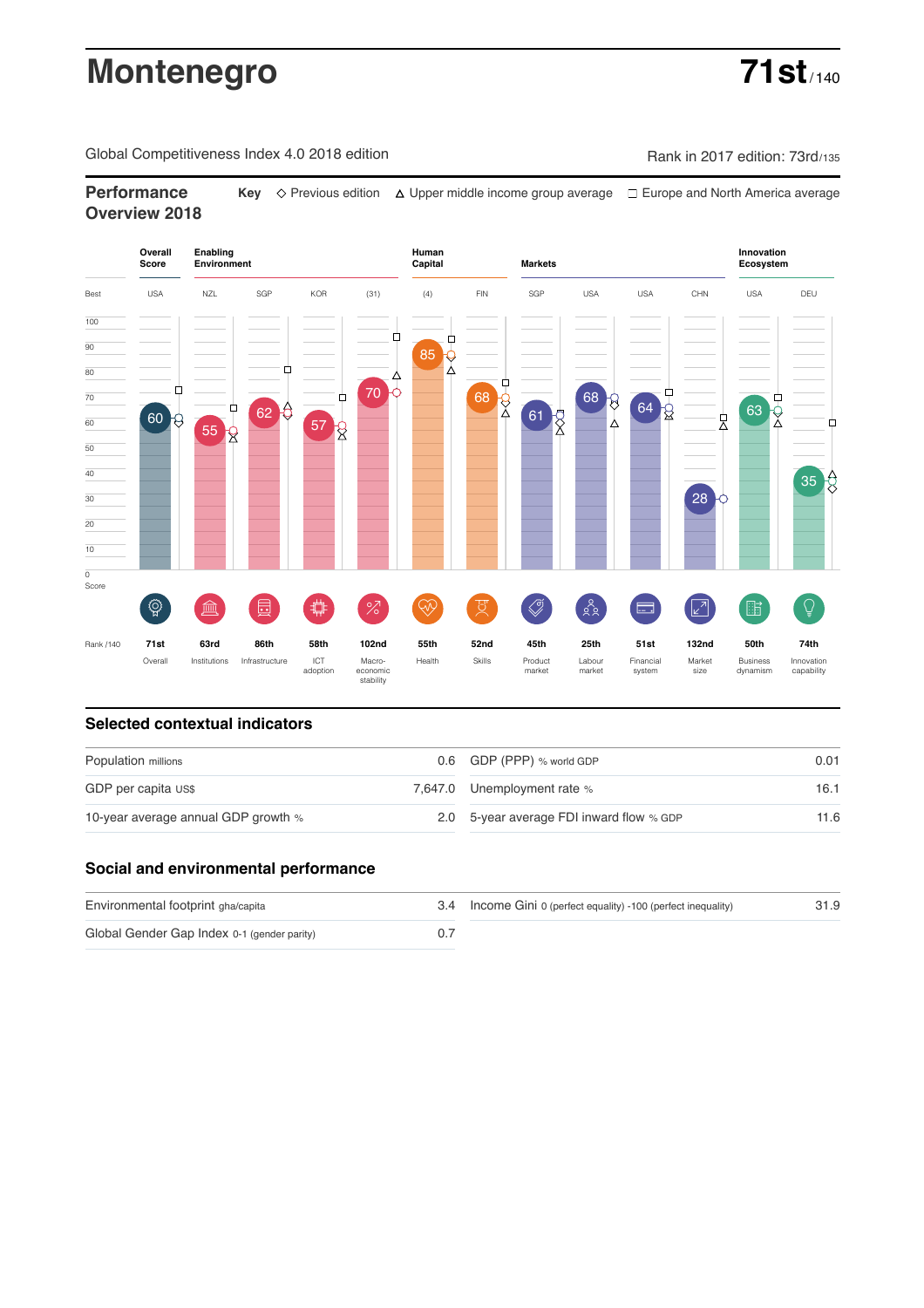# **Montenegro 71st**

Global Competitiveness Index 4.0 2018 edition Company Rank in 2017 edition: 73rd/135

**Performance** Key  $\Diamond$  Previous edition △ Upper middle income group average □ Europe and North America average **Overview 2018**



### **Selected contextual indicators**

| Population millions                 | 0.6 GDP (PPP) % world GDP                | 0.01 |  |
|-------------------------------------|------------------------------------------|------|--|
| GDP per capita US\$                 | 7,647.0 Unemployment rate %              | 16.1 |  |
| 10-year average annual GDP growth % | 2.0 5-year average FDI inward flow % GDP | 11.6 |  |

### **Social and environmental performance**

| Environmental footprint gha/capita          | 3.4 Income Gini 0 (perfect equality) -100 (perfect inequality) | 31.9 |
|---------------------------------------------|----------------------------------------------------------------|------|
| Global Gender Gap Index 0-1 (gender parity) |                                                                |      |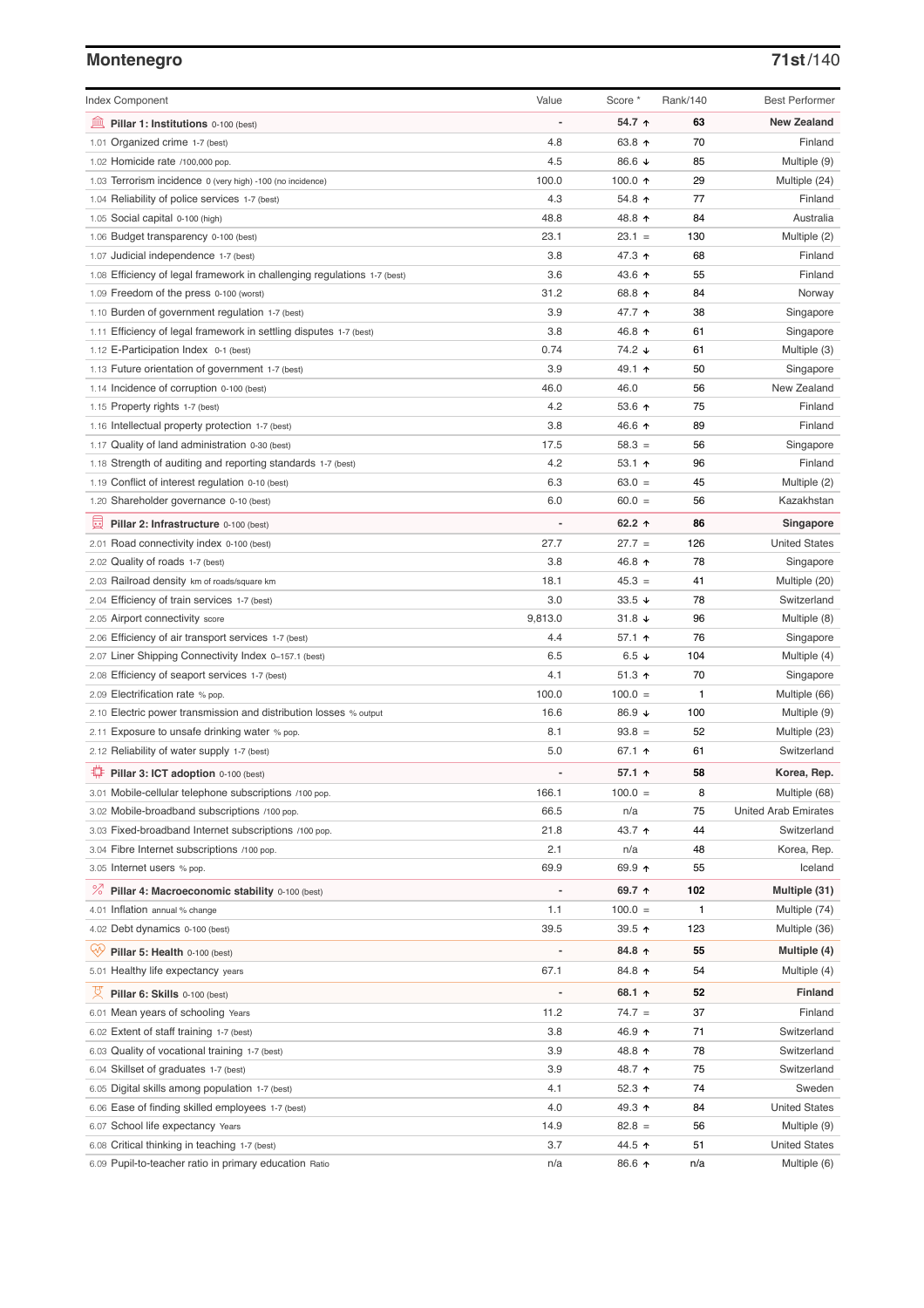# **Montenegro 71st**/140

| <b>Index Component</b>                                                   | Value                    | Score *          | Rank/140 | <b>Best Performer</b>       |
|--------------------------------------------------------------------------|--------------------------|------------------|----------|-----------------------------|
| 寙<br>Pillar 1: Institutions 0-100 (best)                                 | ÷,                       | 54.7 ↑           | 63       | <b>New Zealand</b>          |
| 1.01 Organized crime 1-7 (best)                                          | 4.8                      | 63.8 ↑           | 70       | Finland                     |
| 1.02 Homicide rate /100,000 pop.                                         | 4.5                      | 86.6 ↓           | 85       | Multiple (9)                |
| 1.03 Terrorism incidence 0 (very high) -100 (no incidence)               | 100.0                    | 100.0 $\uparrow$ | 29       | Multiple (24)               |
| 1.04 Reliability of police services 1-7 (best)                           | 4.3                      | 54.8 个           | 77       | Finland                     |
| 1.05 Social capital 0-100 (high)                                         | 48.8                     | 48.8 ↑           | 84       | Australia                   |
| 1.06 Budget transparency 0-100 (best)                                    | 23.1                     | $23.1 =$         | 130      | Multiple (2)                |
| 1.07 Judicial independence 1-7 (best)                                    | 3.8                      | 47.3 ↑           | 68       | Finland                     |
| 1.08 Efficiency of legal framework in challenging regulations 1-7 (best) | 3.6                      | 43.6 ↑           | 55       | Finland                     |
| 1.09 Freedom of the press 0-100 (worst)                                  | 31.2                     | 68.8 ↑           | 84       | Norway                      |
| 1.10 Burden of government regulation 1-7 (best)                          | 3.9                      | 47.7 ተ           | 38       | Singapore                   |
| 1.11 Efficiency of legal framework in settling disputes 1-7 (best)       | 3.8                      | 46.8 ↑           | 61       | Singapore                   |
| 1.12 E-Participation Index 0-1 (best)                                    | 0.74                     | 74.2 ↓           | 61       | Multiple (3)                |
| 1.13 Future orientation of government 1-7 (best)                         | 3.9                      | 49.1 ተ           | 50       | Singapore                   |
| 1.14 Incidence of corruption 0-100 (best)                                | 46.0                     | 46.0             | 56       | New Zealand                 |
| 1.15 Property rights 1-7 (best)                                          | 4.2                      | 53.6 $\uparrow$  | 75       | Finland                     |
| 1.16 Intellectual property protection 1-7 (best)                         | 3.8                      | 46.6 ↑           | 89       | Finland                     |
| 1.17 Quality of land administration 0-30 (best)                          | 17.5                     | $58.3 =$         | 56       | Singapore                   |
| 1.18 Strength of auditing and reporting standards 1-7 (best)             | 4.2                      | 53.1 $\uparrow$  | 96       | Finland                     |
| 1.19 Conflict of interest regulation 0-10 (best)                         | 6.3                      | $63.0 =$         | 45       | Multiple (2)                |
| 1.20 Shareholder governance 0-10 (best)                                  | 6.0                      | $60.0 =$         | 56       | Kazakhstan                  |
| 員<br>Pillar 2: Infrastructure 0-100 (best)                               |                          | 62.2 $\uparrow$  | 86       | Singapore                   |
| 2.01 Road connectivity index 0-100 (best)                                | 27.7                     | $27.7 =$         | 126      | <b>United States</b>        |
| 2.02 Quality of roads 1-7 (best)                                         | 3.8                      | 46.8 ↑           | 78       | Singapore                   |
| 2.03 Railroad density km of roads/square km                              | 18.1                     | $45.3 =$         | 41       | Multiple (20)               |
| 2.04 Efficiency of train services 1-7 (best)                             | 3.0                      | $33.5 +$         | 78       | Switzerland                 |
| 2.05 Airport connectivity score                                          | 9,813.0                  | $31.8 +$         | 96       | Multiple (8)                |
| 2.06 Efficiency of air transport services 1-7 (best)                     | 4.4                      | 57.1 ተ           | 76       | Singapore                   |
| 2.07 Liner Shipping Connectivity Index 0-157.1 (best)                    | 6.5                      | 6.5 $\downarrow$ | 104      | Multiple (4)                |
| 2.08 Efficiency of seaport services 1-7 (best)                           | 4.1                      | $51.3$ ↑         | 70       | Singapore                   |
| 2.09 Electrification rate % pop.                                         | 100.0                    | $100.0 =$        | 1        | Multiple (66)               |
| 2.10 Electric power transmission and distribution losses % output        | 16.6                     | 86.9 ↓           | 100      | Multiple (9)                |
| 2.11 Exposure to unsafe drinking water % pop.                            | 8.1                      | $93.8 =$         | 52       | Multiple (23)               |
| 2.12 Reliability of water supply 1-7 (best)                              | 5.0                      | 67.1 $\uparrow$  | 61       | Switzerland                 |
| O<br>Pillar 3: ICT adoption 0-100 (best)                                 |                          | 57.1 ↑           | 58       | Korea, Rep.                 |
| 3.01 Mobile-cellular telephone subscriptions /100 pop.                   | 166.1                    | $100.0 =$        | 8        | Multiple (68)               |
| 3.02 Mobile-broadband subscriptions /100 pop.                            | 66.5                     | n/a              | 75       | <b>United Arab Emirates</b> |
| 3.03 Fixed-broadband Internet subscriptions /100 pop.                    | 21.8                     | 43.7 ↑           | 44       | Switzerland                 |
| 3.04 Fibre Internet subscriptions /100 pop.                              | 2.1                      | n/a              | 48       | Korea, Rep.                 |
| 3.05 Internet users % pop.                                               | 69.9                     | 69.9 ↑           | 55       | Iceland                     |
| ℅<br>Pillar 4: Macroeconomic stability 0-100 (best)                      | $\overline{\phantom{a}}$ | 69.7 ↑           | 102      | Multiple (31)               |
| 4.01 Inflation annual % change                                           | 1.1                      | $100.0 =$        | 1        | Multiple (74)               |
| 4.02 Debt dynamics 0-100 (best)                                          | 39.5                     | 39.5 个           | 123      | Multiple (36)               |
| Qÿ<br>Pillar 5: Health 0-100 (best)                                      |                          | 84.8 ↑           | 55       | Multiple (4)                |
| 5.01 Healthy life expectancy years                                       | 67.1                     | 84.8 个           | 54       | Multiple (4)                |
|                                                                          |                          |                  |          |                             |
| 섯<br>Pillar 6: Skills 0-100 (best)                                       |                          | 68.1 ↑           | 52       | Finland                     |
| 6.01 Mean years of schooling Years                                       | 11.2                     | $74.7 =$         | 37       | Finland                     |
| 6.02 Extent of staff training 1-7 (best)                                 | 3.8                      | 46.9 ↑           | 71       | Switzerland                 |
| 6.03 Quality of vocational training 1-7 (best)                           | 3.9                      | 48.8 ↑           | 78       | Switzerland                 |
| 6.04 Skillset of graduates 1-7 (best)                                    | 3.9                      | 48.7 ተ           | 75       | Switzerland                 |
| 6.05 Digital skills among population 1-7 (best)                          | 4.1                      | 52.3 ↑           | 74       | Sweden                      |
| 6.06 Ease of finding skilled employees 1-7 (best)                        | 4.0                      | 49.3 ↑           | 84       | <b>United States</b>        |
| 6.07 School life expectancy Years                                        | 14.9                     | $82.8 =$         | 56       | Multiple (9)                |
| 6.08 Critical thinking in teaching 1-7 (best)                            | 3.7                      | 44.5 ↑           | 51       | <b>United States</b>        |
| 6.09 Pupil-to-teacher ratio in primary education Ratio                   | n/a                      | 86.6 ↑           | n/a      | Multiple (6)                |